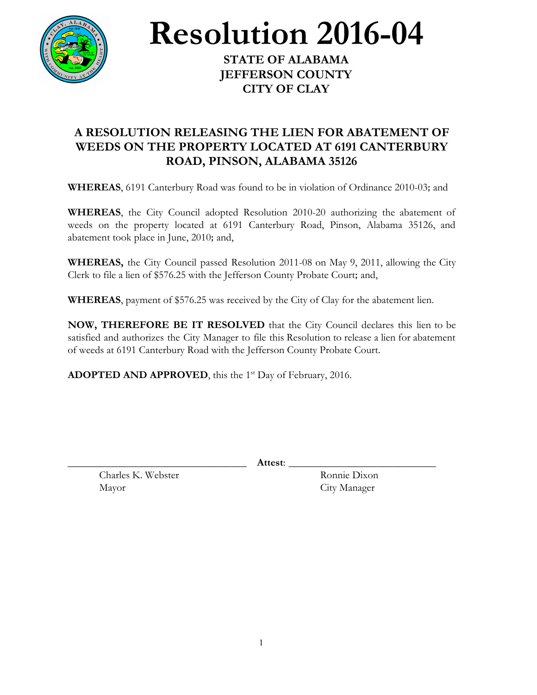

**Resolution 2016-04**

**STATE OF ALABAMA JEFFERSON COUNTY CITY OF CLAY**

## **A RESOLUTION RELEASING THE LIEN FOR ABATEMENT OF WEEDS ON THE PROPERTY LOCATED AT 6191 CANTERBURY ROAD, PINSON, ALABAMA 35126**

**WHEREAS**, 6191 Canterbury Road was found to be in violation of Ordinance 2010-03; and

**WHEREAS**, the City Council adopted Resolution 2010-20 authorizing the abatement of weeds on the property located at 6191 Canterbury Road, Pinson, Alabama 35126, and abatement took place in June, 2010; and,

**WHEREAS,** the City Council passed Resolution 2011-08 on May 9, 2011, allowing the City Clerk to file a lien of \$576.25 with the Jefferson County Probate Court; and,

**WHEREAS**, payment of \$576.25 was received by the City of Clay for the abatement lien.

**NOW, THEREFORE BE IT RESOLVED** that the City Council declares this lien to be satisfied and authorizes the City Manager to file this Resolution to release a lien for abatement of weeds at 6191 Canterbury Road with the Jefferson County Probate Court.

**ADOPTED AND APPROVED**, this the 1<sup>st</sup> Day of February, 2016.

\_\_\_\_\_\_\_\_\_\_\_\_\_\_\_\_\_\_\_\_\_\_\_\_\_\_\_\_\_\_\_\_\_\_ **Attest**: \_\_\_\_\_\_\_\_\_\_\_\_\_\_\_\_\_\_\_\_\_\_\_\_\_\_\_\_

Charles K. Webster Ronnie Dixon Mayor City Manager